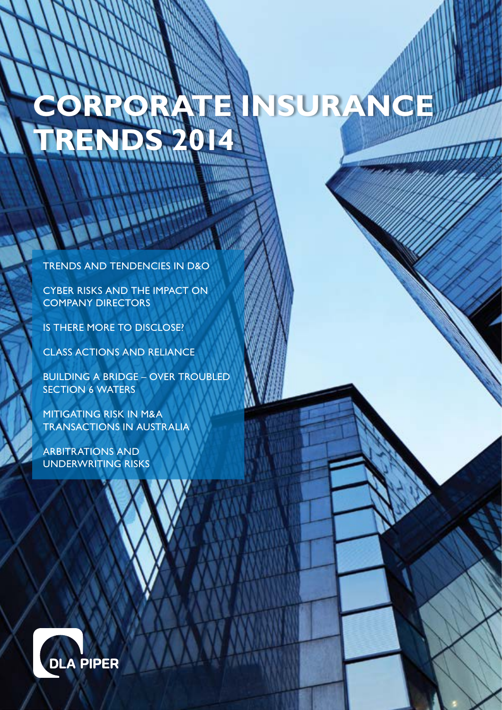# **Corporate Insurance Trends 2014**

Trends and tendencies in D&O

Cyber Risks and the impact on Company Directors

Is there more to disclose?

Class actions and reliance

Building a Bridge – OVER TROUBLED SECTION 6 WATERS

Mitigating risk in M&A transactions in Australia

Arbitrations and underwriting risks

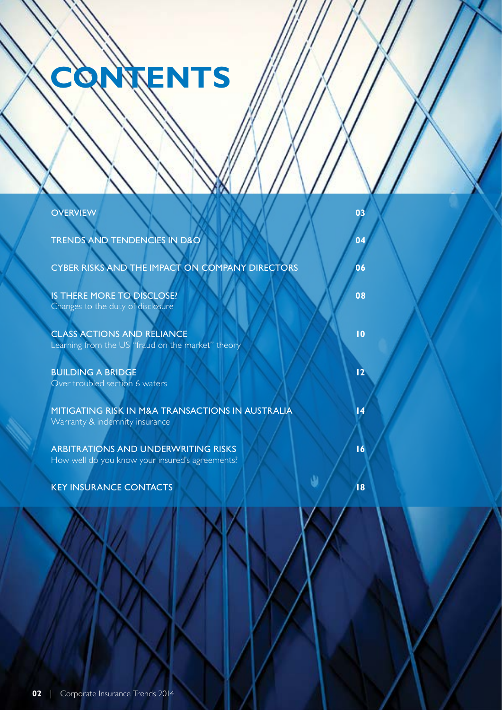# **CONTENTS**

| <b>OVERVIEW</b><br>03                                                                               |
|-----------------------------------------------------------------------------------------------------|
| <b>TRENDS AND TENDENCIES IN D&amp;O</b><br>04                                                       |
| CYBER RISKS AND THE IMPACT ON COMPANY DIRECTORS<br>06                                               |
| IS THERE MORE TO DISCLOSE?<br>08<br>Changes to the duty of disclosure                               |
| <b>CLASS ACTIONS AND RELIANCE</b><br>10<br>Learning from the US "fraud on the market" theory        |
| 12<br><b>BUILDING A BRIDGE</b><br>Over troubled section 6 waters                                    |
| MITIGATING RISK IN M&A TRANSACTIONS IN AUSTRALIA<br>14<br>Warranty & indemnity insurance            |
| 16<br><b>ARBITRATIONS AND UNDERWRITING RISKS</b><br>How well do you know your insured's agreements? |
| <b>KEY INSURANCE CONTACTS</b><br> 8                                                                 |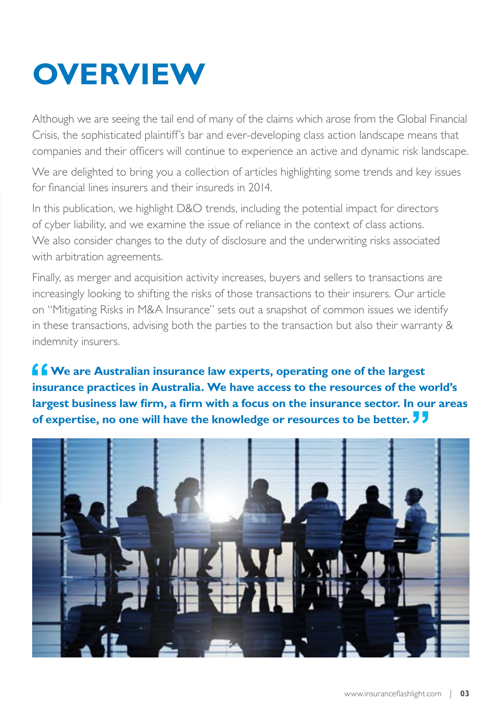## **OVERVIEW**

Although we are seeing the tail end of many of the claims which arose from the Global Financial Crisis, the sophisticated plaintiff's bar and ever-developing class action landscape means that companies and their officers will continue to experience an active and dynamic risk landscape.

We are delighted to bring you a collection of articles highlighting some trends and key issues for financial lines insurers and their insureds in 2014.

In this publication, we highlight D&O trends, including the potential impact for directors of cyber liability, and we examine the issue of reliance in the context of class actions. We also consider changes to the duty of disclosure and the underwriting risks associated with arbitration agreements.

Finally, as merger and acquisition activity increases, buyers and sellers to transactions are increasingly looking to shifting the risks of those transactions to their insurers. Our article on "Mitigating Risks in M&A Insurance" sets out a snapshot of common issues we identify in these transactions, advising both the parties to the transaction but also their warranty & indemnity insurers.

*f* $\bullet$  **We are Australian insurance law experts, operating one of the largest insurance practices in Australia. We have access to the resources of the world's largest business law firm, a firm with a focus on the insurance sector. In our areas of expertise, no one will have the knowledge or resources to be better.** 

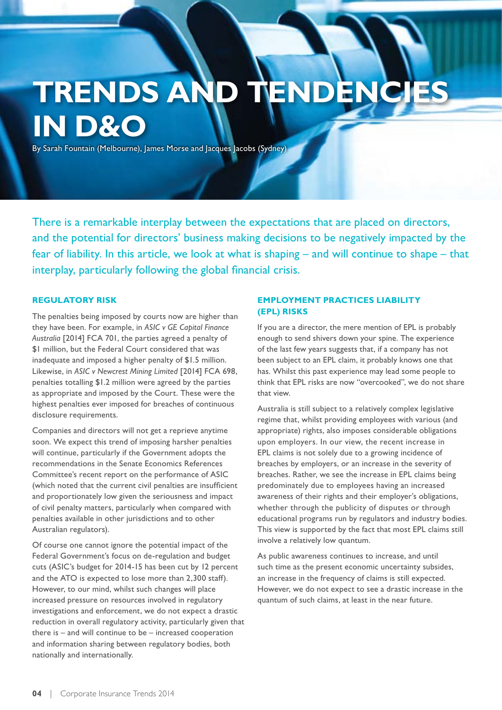### **TRENDS AN in D&O**

By Sarah Fountain (Melbourne), James Morse and Jacques Jacobs (Sydney)

There is a remarkable interplay between the expectations that are placed on directors, and the potential for directors' business making decisions to be negatively impacted by the fear of liability. In this article, we look at what is shaping – and will continue to shape – that interplay, particularly following the global financial crisis.

#### **Regulatory risk**

The penalties being imposed by courts now are higher than they have been. For example, in *ASIC v GE Capital Finance Australia* [2014] FCA 701, the parties agreed a penalty of \$1 million, but the Federal Court considered that was inadequate and imposed a higher penalty of \$1.5 million. Likewise, in *ASIC v Newcrest Mining Limited* [2014] FCA 698, penalties totalling \$1.2 million were agreed by the parties as appropriate and imposed by the Court. These were the highest penalties ever imposed for breaches of continuous disclosure requirements.

Companies and directors will not get a reprieve anytime soon. We expect this trend of imposing harsher penalties will continue, particularly if the Government adopts the recommendations in the Senate Economics References Committee's recent report on the performance of ASIC (which noted that the current civil penalties are insufficient and proportionately low given the seriousness and impact of civil penalty matters, particularly when compared with penalties available in other jurisdictions and to other Australian regulators).

Of course one cannot ignore the potential impact of the Federal Government's focus on de-regulation and budget cuts (ASIC's budget for 2014-15 has been cut by 12 percent and the ATO is expected to lose more than 2,300 staff). However, to our mind, whilst such changes will place increased pressure on resources involved in regulatory investigations and enforcement, we do not expect a drastic reduction in overall regulatory activity, particularly given that there is – and will continue to be – increased cooperation and information sharing between regulatory bodies, both nationally and internationally.

#### **Employment practices liability (EPL) risks**

If you are a director, the mere mention of EPL is probably enough to send shivers down your spine. The experience of the last few years suggests that, if a company has not been subject to an EPL claim, it probably knows one that has. Whilst this past experience may lead some people to think that EPL risks are now "overcooked", we do not share that view.

Australia is still subject to a relatively complex legislative regime that, whilst providing employees with various (and appropriate) rights, also imposes considerable obligations upon employers. In our view, the recent increase in EPL claims is not solely due to a growing incidence of breaches by employers, or an increase in the severity of breaches. Rather, we see the increase in EPL claims being predominately due to employees having an increased awareness of their rights and their employer's obligations, whether through the publicity of disputes or through educational programs run by regulators and industry bodies. This view is supported by the fact that most EPL claims still involve a relatively low quantum.

As public awareness continues to increase, and until such time as the present economic uncertainty subsides, an increase in the frequency of claims is still expected. However, we do not expect to see a drastic increase in the quantum of such claims, at least in the near future.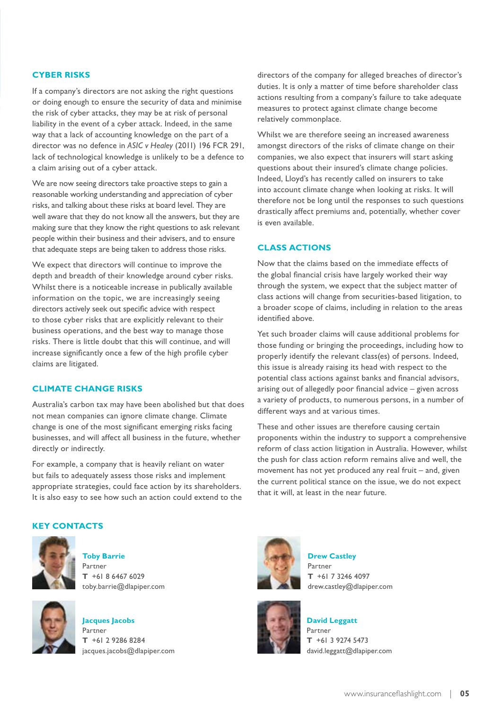#### **Cyber risks**

If a company's directors are not asking the right questions or doing enough to ensure the security of data and minimise the risk of cyber attacks, they may be at risk of personal liability in the event of a cyber attack. Indeed, in the same way that a lack of accounting knowledge on the part of a director was no defence in *ASIC v Healey* (2011) 196 FCR 291, lack of technological knowledge is unlikely to be a defence to a claim arising out of a cyber attack.

We are now seeing directors take proactive steps to gain a reasonable working understanding and appreciation of cyber risks, and talking about these risks at board level. They are well aware that they do not know all the answers, but they are making sure that they know the right questions to ask relevant people within their business and their advisers, and to ensure that adequate steps are being taken to address those risks.

We expect that directors will continue to improve the depth and breadth of their knowledge around cyber risks. Whilst there is a noticeable increase in publically available information on the topic, we are increasingly seeing directors actively seek out specific advice with respect to those cyber risks that are explicitly relevant to their business operations, and the best way to manage those risks. There is little doubt that this will continue, and will increase significantly once a few of the high profile cyber claims are litigated.

#### **Climate change risks**

Australia's carbon tax may have been abolished but that does not mean companies can ignore climate change. Climate change is one of the most significant emerging risks facing businesses, and will affect all business in the future, whether directly or indirectly.

For example, a company that is heavily reliant on water but fails to adequately assess those risks and implement appropriate strategies, could face action by its shareholders. It is also easy to see how such an action could extend to the directors of the company for alleged breaches of director's duties. It is only a matter of time before shareholder class actions resulting from a company's failure to take adequate measures to protect against climate change become relatively commonplace.

Whilst we are therefore seeing an increased awareness amongst directors of the risks of climate change on their companies, we also expect that insurers will start asking questions about their insured's climate change policies. Indeed, Lloyd's has recently called on insurers to take into account climate change when looking at risks. It will therefore not be long until the responses to such questions drastically affect premiums and, potentially, whether cover is even available.

#### **Class actions**

Now that the claims based on the immediate effects of the global financial crisis have largely worked their way through the system, we expect that the subject matter of class actions will change from securities-based litigation, to a broader scope of claims, including in relation to the areas identified above.

Yet such broader claims will cause additional problems for those funding or bringing the proceedings, including how to properly identify the relevant class(es) of persons. Indeed, this issue is already raising its head with respect to the potential class actions against banks and financial advisors, arising out of allegedly poor financial advice – given across a variety of products, to numerous persons, in a number of different ways and at various times.

These and other issues are therefore causing certain proponents within the industry to support a comprehensive reform of class action litigation in Australia. However, whilst the push for class action reform remains alive and well, the movement has not yet produced any real fruit – and, given the current political stance on the issue, we do not expect that it will, at least in the near future.



**Toby Barrie** Partner **T** +61 8 6467 6029 toby.barrie@dlapiper.com



**Jacques Jacobs** Partner **T** +61 2 9286 8284 jacques.jacobs@dlapiper.com



**Drew Castley** Partner **T** +61 7 3246 4097 drew.castley@dlapiper.com



**David Leggatt** Partner **T** +61 3 9274 5473 david.leggatt@dlapiper.com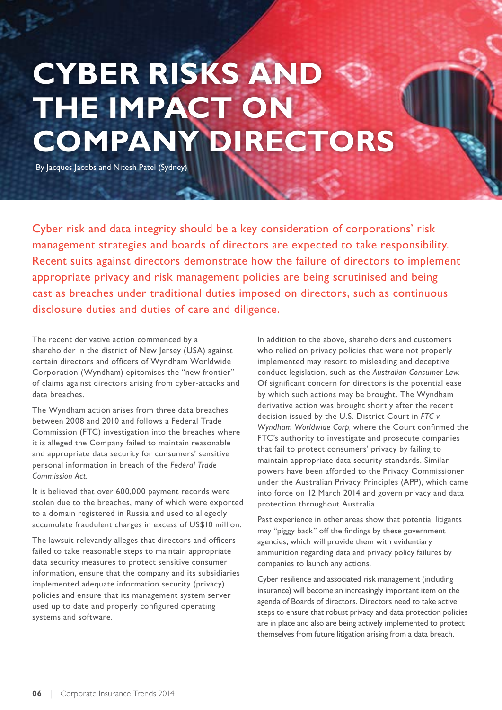## **Cyber Risks and THE IMPACT ON Company Directors**

By Jacques Jacobs and Nitesh Patel (Sydney)

Cyber risk and data integrity should be a key consideration of corporations' risk management strategies and boards of directors are expected to take responsibility. Recent suits against directors demonstrate how the failure of directors to implement appropriate privacy and risk management policies are being scrutinised and being cast as breaches under traditional duties imposed on directors, such as continuous disclosure duties and duties of care and diligence.

The recent derivative action commenced by a shareholder in the district of New Jersey (USA) against certain directors and officers of Wyndham Worldwide Corporation (Wyndham) epitomises the "new frontier" of claims against directors arising from cyber-attacks and data breaches.

The Wyndham action arises from three data breaches between 2008 and 2010 and follows a Federal Trade Commission (FTC) investigation into the breaches where it is alleged the Company failed to maintain reasonable and appropriate data security for consumers' sensitive personal information in breach of the *Federal Trade Commission Act.*

It is believed that over 600,000 payment records were stolen due to the breaches, many of which were exported to a domain registered in Russia and used to allegedly accumulate fraudulent charges in excess of US\$10 million.

The lawsuit relevantly alleges that directors and officers failed to take reasonable steps to maintain appropriate data security measures to protect sensitive consumer information, ensure that the company and its subsidiaries implemented adequate information security (privacy) policies and ensure that its management system server used up to date and properly configured operating systems and software.

In addition to the above, shareholders and customers who relied on privacy policies that were not properly implemented may resort to misleading and deceptive conduct legislation, such as the *Australian Consumer Law.*  Of significant concern for directors is the potential ease by which such actions may be brought. The Wyndham derivative action was brought shortly after the recent decision issued by the U.S. District Court in *FTC v. Wyndham Worldwide Corp*, where the Court confirmed the FTC's authority to investigate and prosecute companies that fail to protect consumers' privacy by failing to maintain appropriate data security standards. Similar powers have been afforded to the Privacy Commissioner under the Australian Privacy Principles (APP), which came into force on 12 March 2014 and govern privacy and data protection throughout Australia.

Past experience in other areas show that potential litigants may "piggy back" off the findings by these government agencies, which will provide them with evidentiary ammunition regarding data and privacy policy failures by companies to launch any actions.

Cyber resilience and associated risk management (including insurance) will become an increasingly important item on the agenda of Boards of directors. Directors need to take active steps to ensure that robust privacy and data protection policies are in place and also are being actively implemented to protect themselves from future litigation arising from a data breach.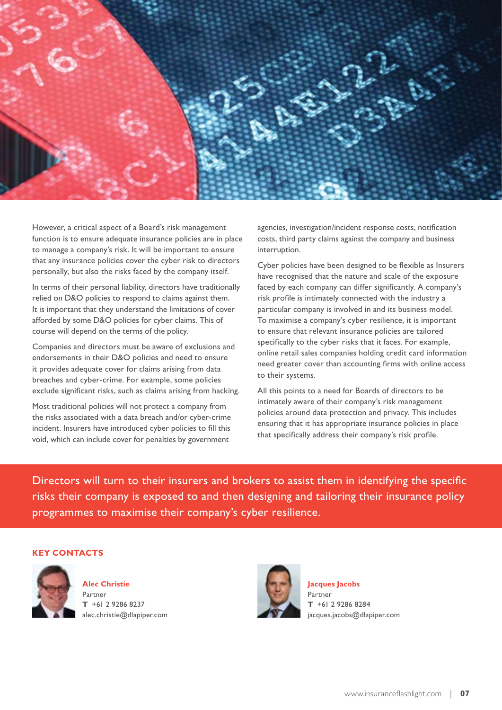

However, a critical aspect of a Board's risk management function is to ensure adequate insurance policies are in place to manage a company's risk. It will be important to ensure that any insurance policies cover the cyber risk to directors personally, but also the risks faced by the company itself.

In terms of their personal liability, directors have traditionally relied on D&O policies to respond to claims against them. It is important that they understand the limitations of cover afforded by some D&O policies for cyber claims. This of course will depend on the terms of the policy.

Companies and directors must be aware of exclusions and endorsements in their D&O policies and need to ensure it provides adequate cover for claims arising from data breaches and cyber-crime. For example, some policies exclude significant risks, such as claims arising from hacking.

Most traditional policies will not protect a company from the risks associated with a data breach and/or cyber-crime incident. Insurers have introduced cyber policies to fill this void, which can include cover for penalties by government

agencies, investigation/incident response costs, notification costs, third party claims against the company and business interruption.

Cyber policies have been designed to be flexible as Insurers have recognised that the nature and scale of the exposure faced by each company can differ significantly. A company's risk profile is intimately connected with the industry a particular company is involved in and its business model. To maximise a company's cyber resilience, it is important to ensure that relevant insurance policies are tailored specifically to the cyber risks that it faces. For example, online retail sales companies holding credit card information need greater cover than accounting firms with online access to their systems.

All this points to a need for Boards of directors to be intimately aware of their company's risk management policies around data protection and privacy. This includes ensuring that it has appropriate insurance policies in place that specifically address their company's risk profile.

Directors will turn to their insurers and brokers to assist them in identifying the specific risks their company is exposed to and then designing and tailoring their insurance policy programmes to maximise their company's cyber resilience.



**Alec Christie** Partner **T** +61 2 9286 8237 alec.christie@dlapiper.com



**Jacques Jacobs** Partner **T** +61 2 9286 8284 jacques.jacobs@dlapiper.com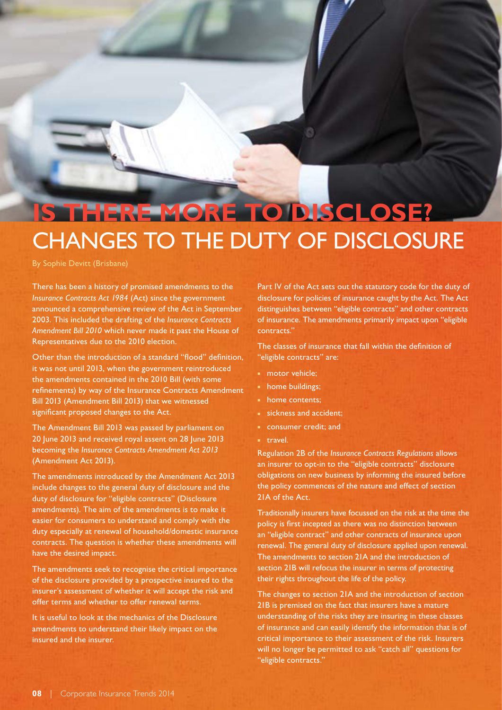### **Is there more to disclose?** CHANGES TO THE DUTY OF DISCLOSURE

By Sophie Devitt (Brisbane)

There has been a history of promised amendments to the *Insurance Contracts Act 1984* (Act) since the government announced a comprehensive review of the Act in September 2003. This included the drafting of the *Insurance Contracts Amendment Bill 2010* which never made it past the House of Representatives due to the 2010 election.

Other than the introduction of a standard "flood" definition, it was not until 2013, when the government reintroduced the amendments contained in the 2010 Bill (with some refinements) by way of the Insurance Contracts Amendment Bill 2013 (Amendment Bill 2013) that we witnessed significant proposed changes to the Act.

The Amendment Bill 2013 was passed by parliament on 20 June 2013 and received royal assent on 28 June 2013 becoming the *Insurance Contracts Amendment Act 2013* (Amendment Act 2013).

The amendments introduced by the Amendment Act 2013 include changes to the general duty of disclosure and the duty of disclosure for "eligible contracts" (Disclosure amendments). The aim of the amendments is to make it easier for consumers to understand and comply with the duty especially at renewal of household/domestic insurance contracts. The question is whether these amendments will have the desired impact.

The amendments seek to recognise the critical importance of the disclosure provided by a prospective insured to the insurer's assessment of whether it will accept the risk and offer terms and whether to offer renewal terms.

It is useful to look at the mechanics of the Disclosure amendments to understand their likely impact on the insured and the insurer.

Part IV of the Act sets out the statutory code for the duty of disclosure for policies of insurance caught by the Act. The Act distinguishes between "eligible contracts" and other contracts of insurance. The amendments primarily impact upon "eligible contracts."

The classes of insurance that fall within the definition of "eligible contracts" are:

- motor vehicle;
- home buildings;
- home contents;
- sickness and accident;
- consumer credit; and
- travel.

Regulation 2B of the *Insurance Contracts Regulations* allows an insurer to opt-in to the "eligible contracts" disclosure obligations on new business by informing the insured before the policy commences of the nature and effect of section 21A of the Act.

Traditionally insurers have focussed on the risk at the time the policy is first incepted as there was no distinction between an "eligible contract" and other contracts of insurance upon renewal. The general duty of disclosure applied upon renewal. The amendments to section 21A and the introduction of section 21B will refocus the insurer in terms of protecting their rights throughout the life of the policy.

The changes to section 21A and the introduction of section 21B is premised on the fact that insurers have a mature understanding of the risks they are insuring in these classes of insurance and can easily identify the information that is of critical importance to their assessment of the risk. Insurers will no longer be permitted to ask "catch all" questions for "eligible contracts."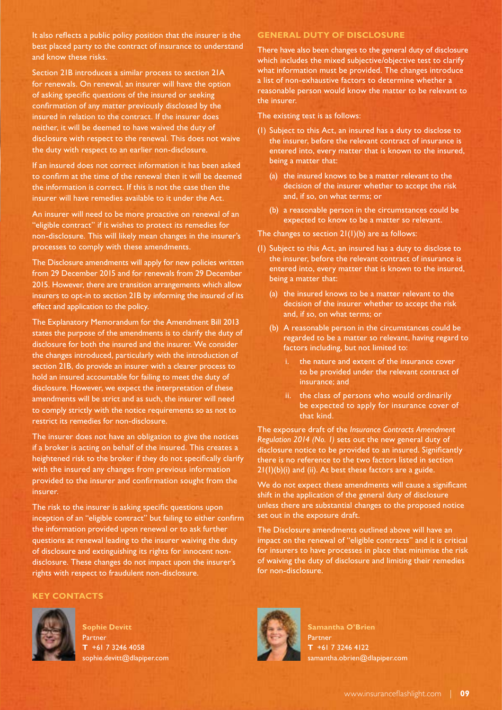It also reflects a public policy position that the insurer is the best placed party to the contract of insurance to understand and know these risks.

Section 21B introduces a similar process to section 21A for renewals. On renewal, an insurer will have the option of asking specific questions of the insured or seeking confirmation of any matter previously disclosed by the insured in relation to the contract. If the insurer does neither, it will be deemed to have waived the duty of disclosure with respect to the renewal. This does not waive the duty with respect to an earlier non-disclosure.

If an insured does not correct information it has been asked to confirm at the time of the renewal then it will be deemed the information is correct. If this is not the case then the insurer will have remedies available to it under the Act.

An insurer will need to be more proactive on renewal of an "eligible contract" if it wishes to protect its remedies for non-disclosure. This will likely mean changes in the insurer's processes to comply with these amendments.

The Disclosure amendments will apply for new policies written from 29 December 2015 and for renewals from 29 December 2015. However, there are transition arrangements which allow insurers to opt-in to section 21B by informing the insured of its effect and application to the policy.

The Explanatory Memorandum for the Amendment Bill 2013 states the purpose of the amendments is to clarify the duty of disclosure for both the insured and the insurer. We consider the changes introduced, particularly with the introduction of section 21B, do provide an insurer with a clearer process to hold an insured accountable for failing to meet the duty of disclosure. However, we expect the interpretation of these amendments will be strict and as such, the insurer will need to comply strictly with the notice requirements so as not to restrict its remedies for non-disclosure.

The insurer does not have an obligation to give the notices if a broker is acting on behalf of the insured. This creates a heightened risk to the broker if they do not specifically clarify with the insured any changes from previous information provided to the insurer and confirmation sought from the insurer.

The risk to the insurer is asking specific questions upon inception of an "eligible contract" but failing to either confirm the information provided upon renewal or to ask further questions at renewal leading to the insurer waiving the duty of disclosure and extinguishing its rights for innocent nondisclosure. These changes do not impact upon the insurer's rights with respect to fraudulent non-disclosure.

#### **Key Contacts**



**Sophie Devitt** Partner **T** +61 7 3246 4058 sophie.devitt@dlapiper.com

#### **GENERAL DUTY OF DISCLOSURE**

There have also been changes to the general duty of disclosure which includes the mixed subjective/objective test to clarify what information must be provided. The changes introduce a list of non-exhaustive factors to determine whether a reasonable person would know the matter to be relevant to the insurer.

The existing test is as follows:

- (1) Subject to this Act, an insured has a duty to disclose to the insurer, before the relevant contract of insurance is entered into, every matter that is known to the insured, being a matter that:
	- (a) the insured knows to be a matter relevant to the decision of the insurer whether to accept the risk and, if so, on what terms; or
	- (b) a reasonable person in the circumstances could be expected to know to be a matter so relevant.

#### The changes to section 21(1)(b) are as follows:

- (1) Subject to this Act, an insured has a duty to disclose to the insurer, before the relevant contract of insurance is entered into, every matter that is known to the insured, being a matter that:
	- (a) the insured knows to be a matter relevant to the decision of the insurer whether to accept the risk and, if so, on what terms; or
	- (b) A reasonable person in the circumstances could be regarded to be a matter so relevant, having regard to factors including, but not limited to:
		- the nature and extent of the insurance cover to be provided under the relevant contract of insurance; and
		- ii. the class of persons who would ordinarily be expected to apply for insurance cover of that kind.

The exposure draft of the *Insurance Contracts Amendment Regulation 2014 (No. 1)* sets out the new general duty of disclosure notice to be provided to an insured. Significantly there is no reference to the two factors listed in section  $21(1)(b)(i)$  and (ii). At best these factors are a guide.

We do not expect these amendments will cause a significant shift in the application of the general duty of disclosure unless there are substantial changes to the proposed notice set out in the exposure draft.

The Disclosure amendments outlined above will have an impact on the renewal of "eligible contracts" and it is critical for insurers to have processes in place that minimise the risk of waiving the duty of disclosure and limiting their remedies for non-disclosure.



**Samantha O'Brien** Partner **T** +61 7 3246 4122 samantha.obrien@dlapiper.com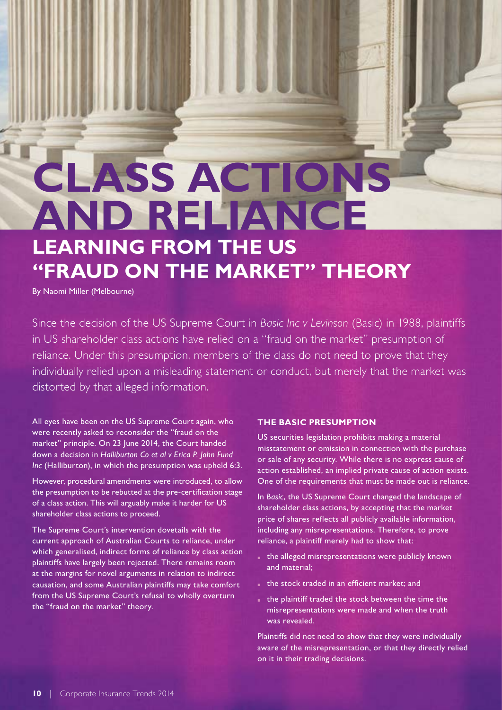## **Class actions and reliance learning from the US "fraud on the market" theory**

By Naomi Miller (Melbourne)

Since the decision of the US Supreme Court in *Basic Inc v Levinson* (Basic) in 1988, plaintiffs in US shareholder class actions have relied on a "fraud on the market" presumption of reliance. Under this presumption, members of the class do not need to prove that they individually relied upon a misleading statement or conduct, but merely that the market was distorted by that alleged information.

All eyes have been on the US Supreme Court again, who were recently asked to reconsider the "fraud on the market" principle. On 23 June 2014, the Court handed down a decision in *Halliburton Co et al v Erica P. John Fund Inc* (Halliburton), in which the presumption was upheld 6:3.

However, procedural amendments were introduced, to allow the presumption to be rebutted at the pre-certification stage of a class action. This will arguably make it harder for US shareholder class actions to proceed.

The Supreme Court's intervention dovetails with the current approach of Australian Courts to reliance, under which generalised, indirect forms of reliance by class action plaintiffs have largely been rejected. There remains room at the margins for novel arguments in relation to indirect causation, and some Australian plaintiffs may take comfort from the US Supreme Court's refusal to wholly overturn the "fraud on the market" theory.

#### **The Basic presumption**

US securities legislation prohibits making a material misstatement or omission in connection with the purchase or sale of any security. While there is no express cause of action established, an implied private cause of action exists. One of the requirements that must be made out is reliance.

In *Basic*, the US Supreme Court changed the landscape of shareholder class actions, by accepting that the market price of shares reflects all publicly available information, including any misrepresentations. Therefore, to prove reliance, a plaintiff merely had to show that:

- the alleged misrepresentations were publicly known and material;
- the stock traded in an efficient market; and
- the plaintiff traded the stock between the time the misrepresentations were made and when the truth was revealed.

Plaintiffs did not need to show that they were individually aware of the misrepresentation, or that they directly relied on it in their trading decisions.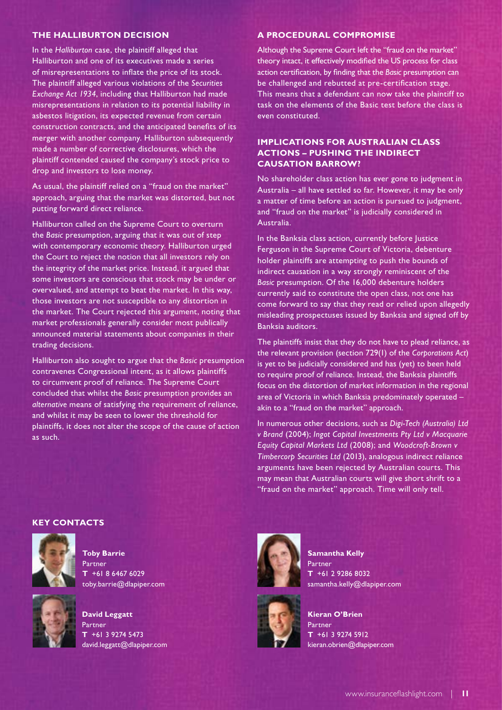#### **The Halliburton decision**

In the *Halliburton* case, the plaintiff alleged that Halliburton and one of its executives made a series of misrepresentations to inflate the price of its stock. The plaintiff alleged various violations of the *Securities Exchange Act 1934*, including that Halliburton had made misrepresentations in relation to its potential liability in asbestos litigation, its expected revenue from certain construction contracts, and the anticipated benefits of its merger with another company. Halliburton subsequently made a number of corrective disclosures, which the plaintiff contended caused the company's stock price to drop and investors to lose money.

As usual, the plaintiff relied on a "fraud on the market" approach, arguing that the market was distorted, but not putting forward direct reliance.

Halliburton called on the Supreme Court to overturn the *Basic* presumption, arguing that it was out of step with contemporary economic theory. Halliburton urged the Court to reject the notion that all investors rely on the integrity of the market price. Instead, it argued that some investors are conscious that stock may be under or overvalued, and attempt to beat the market. In this way, those investors are not susceptible to any distortion in the market. The Court rejected this argument, noting that market professionals generally consider most publically announced material statements about companies in their trading decisions.

Halliburton also sought to argue that the *Basic* presumption contravenes Congressional intent, as it allows plaintiffs to circumvent proof of reliance. The Supreme Court concluded that whilst the *Basic* presumption provides an *alternative* means of satisfying the requirement of reliance, and whilst it may be seen to lower the threshold for plaintiffs, it does not alter the scope of the cause of action as such.

#### **A procedural compromise**

Although the Supreme Court left the "fraud on the market" theory intact, it effectively modified the US process for class action certification, by finding that the *Basic* presumption can be challenged and rebutted at pre-certification stage. This means that a defendant can now take the plaintiff to task on the elements of the Basic test before the class is even constituted.

#### **Implications for Australian class actions – pushing the indirect causation barrow?**

No shareholder class action has ever gone to judgment in Australia – all have settled so far. However, it may be only a matter of time before an action is pursued to judgment, and "fraud on the market" is judicially considered in Australia.

In the Banksia class action, currently before Justice Ferguson in the Supreme Court of Victoria, debenture holder plaintiffs are attempting to push the bounds of indirect causation in a way strongly reminiscent of the *Basic* presumption. Of the 16,000 debenture holders currently said to constitute the open class, not one has come forward to say that they read or relied upon allegedly misleading prospectuses issued by Banksia and signed off by Banksia auditors.

The plaintiffs insist that they do not have to plead reliance, as the relevant provision (section 729(1) of the *Corporations Act*) is yet to be judicially considered and has (yet) to been held to require proof of reliance. Instead, the Banksia plaintiffs focus on the distortion of market information in the regional area of Victoria in which Banksia predominately operated – akin to a "fraud on the market" approach.

In numerous other decisions, such as *Digi-Tech (Australia) Ltd v Brand* (2004); *Ingot Capital Investments Pty Ltd v Macquarie Equity Capital Markets Ltd* (2008); and *Woodcroft-Brown v Timbercorp Securities Ltd* (2013), analogous indirect reliance arguments have been rejected by Australian courts. This may mean that Australian courts will give short shrift to a "fraud on the market" approach. Time will only tell.



**Toby Barrie** Partner **T** +61 8 6467 6029 toby.barrie@dlapiper.com



**David Leggatt** Partner **T** +61 3 9274 5473 david.leggatt@dlapiper.com



**Samantha Kelly** Partner **T** +61 2 9286 8032 samantha.kelly@dlapiper.com



**Kieran O'Brien** Partner **T** +61 3 9274 5912 kieran.obrien@dlapiper.com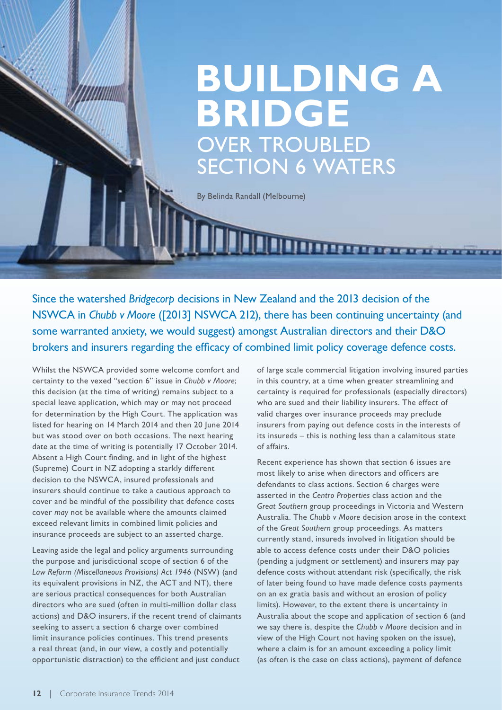### **Building a Bridge**  OVER TROUBLED Section 6 Waters

By Belinda Randall (Melbourne)

Since the watershed *Bridgecorp* decisions in New Zealand and the 2013 decision of the NSWCA in *Chubb v Moore* ([2013] NSWCA 212), there has been continuing uncertainty (and some warranted anxiety, we would suggest) amongst Australian directors and their D&O brokers and insurers regarding the efficacy of combined limit policy coverage defence costs.

Whilst the NSWCA provided some welcome comfort and certainty to the vexed "section 6" issue in *Chubb v Moore*; this decision (at the time of writing) remains subject to a special leave application, which may or may not proceed for determination by the High Court. The application was listed for hearing on 14 March 2014 and then 20 June 2014 but was stood over on both occasions. The next hearing date at the time of writing is potentially 17 October 2014. Absent a High Court finding, and in light of the highest (Supreme) Court in NZ adopting a starkly different decision to the NSWCA, insured professionals and insurers should continue to take a cautious approach to cover and be mindful of the possibility that defence costs cover *may* not be available where the amounts claimed exceed relevant limits in combined limit policies and insurance proceeds are subject to an asserted charge.

Leaving aside the legal and policy arguments surrounding the purpose and jurisdictional scope of section 6 of the *Law Reform (Miscellaneous Provisions) Act 1946* (NSW) (and its equivalent provisions in NZ, the ACT and NT), there are serious practical consequences for both Australian directors who are sued (often in multi-million dollar class actions) and D&O insurers, if the recent trend of claimants seeking to assert a section 6 charge over combined limit insurance policies continues. This trend presents a real threat (and, in our view, a costly and potentially opportunistic distraction) to the efficient and just conduct

of large scale commercial litigation involving insured parties in this country, at a time when greater streamlining and certainty is required for professionals (especially directors) who are sued and their liability insurers. The effect of valid charges over insurance proceeds may preclude insurers from paying out defence costs in the interests of its insureds – this is nothing less than a calamitous state of affairs.

<u> IIII 1111 1121 e te te te te te te t</u>

Recent experience has shown that section 6 issues are most likely to arise when directors and officers are defendants to class actions. Section 6 charges were asserted in the *Centro Properties* class action and the *Great Southern* group proceedings in Victoria and Western Australia. The *Chubb v Moore* decision arose in the context of the *Great Southern* group proceedings. As matters currently stand, insureds involved in litigation should be able to access defence costs under their D&O policies (pending a judgment or settlement) and insurers may pay defence costs without attendant risk (specifically, the risk of later being found to have made defence costs payments on an ex gratia basis and without an erosion of policy limits). However, to the extent there is uncertainty in Australia about the scope and application of section 6 (and we say there is, despite the *Chubb v Moore* decision and in view of the High Court not having spoken on the issue), where a claim is for an amount exceeding a policy limit (as often is the case on class actions), payment of defence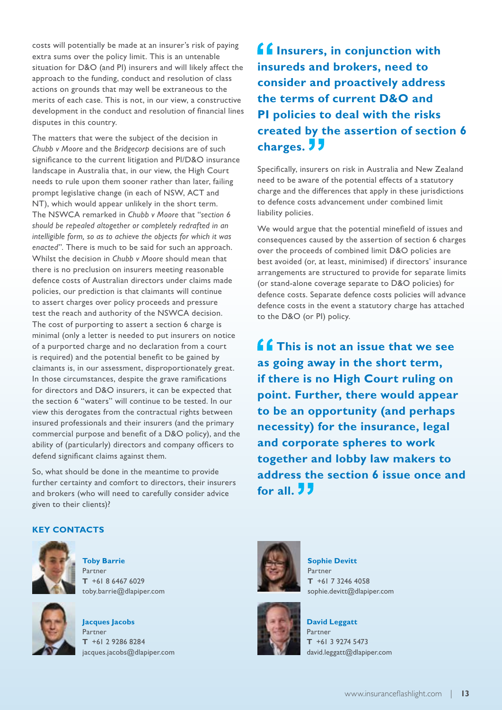costs will potentially be made at an insurer's risk of paying extra sums over the policy limit. This is an untenable situation for D&O (and PI) insurers and will likely affect the approach to the funding, conduct and resolution of class actions on grounds that may well be extraneous to the merits of each case. This is not, in our view, a constructive development in the conduct and resolution of financial lines disputes in this country.

The matters that were the subject of the decision in *Chubb v Moore* and the *Bridgecorp* decisions are of such significance to the current litigation and PI/D&O insurance landscape in Australia that, in our view, the High Court needs to rule upon them sooner rather than later, failing prompt legislative change (in each of NSW, ACT and NT), which would appear unlikely in the short term. The NSWCA remarked in *Chubb v Moore* that "*section 6 should be repealed altogether or completely redrafted in an intelligible form, so as to achieve the objects for which it was enacted*". There is much to be said for such an approach. Whilst the decision in *Chubb v Moore* should mean that there is no preclusion on insurers meeting reasonable defence costs of Australian directors under claims made policies, our prediction is that claimants will continue to assert charges over policy proceeds and pressure test the reach and authority of the NSWCA decision. The cost of purporting to assert a section 6 charge is minimal (only a letter is needed to put insurers on notice of a purported charge and no declaration from a court is required) and the potential benefit to be gained by claimants is, in our assessment, disproportionately great. In those circumstances, despite the grave ramifications for directors and D&O insurers, it can be expected that the section 6 "waters" will continue to be tested. In our view this derogates from the contractual rights between insured professionals and their insurers (and the primary commercial purpose and benefit of a D&O policy), and the ability of (particularly) directors and company officers to defend significant claims against them.

So, what should be done in the meantime to provide further certainty and comfort to directors, their insurers and brokers (who will need to carefully consider advice given to their clients)?

### **Key Contacts**



**Toby Barrie** Partner **T** +61 8 6467 6029 toby.barrie@dlapiper.com

**Jacques Jacobs** Partner **T** +61 2 9286 8284 jacques.jacobs@dlapiper.com

**f f** Insurers, in conjunction with **insureds and brokers, need to consider and proactively address the terms of current D&O and PI policies to deal with the risks created by the assertion of section 6 charges.** 

Specifically, insurers on risk in Australia and New Zealand need to be aware of the potential effects of a statutory charge and the differences that apply in these jurisdictions to defence costs advancement under combined limit liability policies.

We would argue that the potential minefield of issues and consequences caused by the assertion of section 6 charges over the proceeds of combined limit D&O policies are best avoided (or, at least, minimised) if directors' insurance arrangements are structured to provide for separate limits (or stand-alone coverage separate to D&O policies) for defence costs. Separate defence costs policies will advance defence costs in the event a statutory charge has attached to the D&O (or PI) policy.

**ff** This is not an issue that we see **as going away in the short term, if there is no High Court ruling on point. Further, there would appear to be an opportunity (and perhaps necessity) for the insurance, legal and corporate spheres to work together and lobby law makers to address the section 6 issue once and for all.** 



**Sophie Devitt** Partner **T** +61 7 3246 4058 sophie.devitt@dlapiper.com



**David Leggatt** Partner **T** +61 3 9274 5473 david.leggatt@dlapiper.com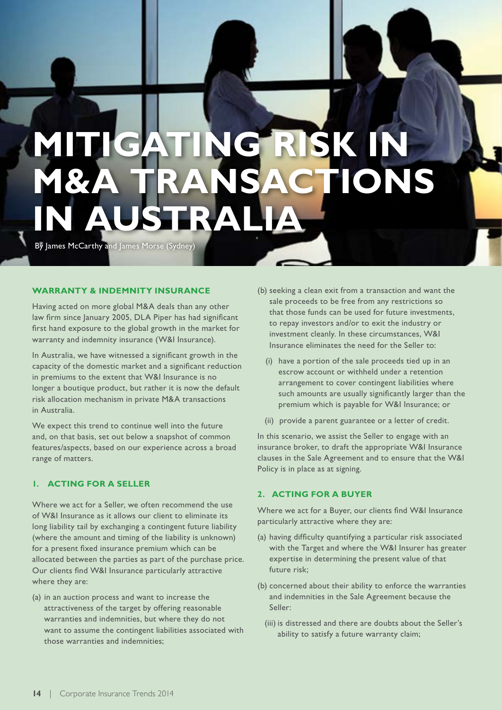# **Mitigating risk in M&A transactions in Australia**

By James McCarthy and James Morse (Sydney)

#### **Warranty & Indemnity Insurance**

Having acted on more global M&A deals than any other law firm since January 2005, DLA Piper has had significant first hand exposure to the global growth in the market for warranty and indemnity insurance (W&I Insurance).

In Australia, we have witnessed a significant growth in the capacity of the domestic market and a significant reduction in premiums to the extent that W&I Insurance is no longer a boutique product, but rather it is now the default risk allocation mechanism in private M&A transactions in Australia.

We expect this trend to continue well into the future and, on that basis, set out below a snapshot of common features/aspects, based on our experience across a broad range of matters.

#### **1. Acting for a Seller**

Where we act for a Seller, we often recommend the use of W&I Insurance as it allows our client to eliminate its long liability tail by exchanging a contingent future liability (where the amount and timing of the liability is unknown) for a present fixed insurance premium which can be allocated between the parties as part of the purchase price. Our clients find W&I Insurance particularly attractive where they are:

(a) in an auction process and want to increase the attractiveness of the target by offering reasonable warranties and indemnities, but where they do not want to assume the contingent liabilities associated with those warranties and indemnities;

- (b) seeking a clean exit from a transaction and want the sale proceeds to be free from any restrictions so that those funds can be used for future investments, to repay investors and/or to exit the industry or investment cleanly. In these circumstances, W&I Insurance eliminates the need for the Seller to:
	- (i) have a portion of the sale proceeds tied up in an escrow account or withheld under a retention arrangement to cover contingent liabilities where such amounts are usually significantly larger than the premium which is payable for W&I Insurance; or
	- (ii) provide a parent guarantee or a letter of credit.

In this scenario, we assist the Seller to engage with an insurance broker, to draft the appropriate W&I Insurance clauses in the Sale Agreement and to ensure that the W&I Policy is in place as at signing.

#### **2. Acting for a Buyer**

Where we act for a Buyer, our clients find W&I Insurance particularly attractive where they are:

- (a) having difficulty quantifying a particular risk associated with the Target and where the W&I Insurer has greater expertise in determining the present value of that future risk;
- (b) concerned about their ability to enforce the warranties and indemnities in the Sale Agreement because the Seller:
	- (iii) is distressed and there are doubts about the Seller's ability to satisfy a future warranty claim;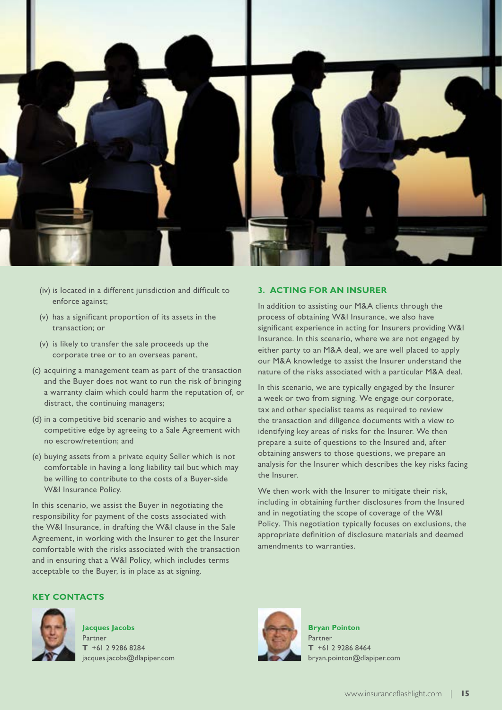

- (iv) is located in a different jurisdiction and difficult to enforce against;
- (v) has a significant proportion of its assets in the transaction; or
- (v) is likely to transfer the sale proceeds up the corporate tree or to an overseas parent,
- (c) acquiring a management team as part of the transaction and the Buyer does not want to run the risk of bringing a warranty claim which could harm the reputation of, or distract, the continuing managers;
- (d) in a competitive bid scenario and wishes to acquire a competitive edge by agreeing to a Sale Agreement with no escrow/retention; and
- (e) buying assets from a private equity Seller which is not comfortable in having a long liability tail but which may be willing to contribute to the costs of a Buyer-side W&I Insurance Policy.

In this scenario, we assist the Buyer in negotiating the responsibility for payment of the costs associated with the W&I Insurance, in drafting the W&I clause in the Sale Agreement, in working with the Insurer to get the Insurer comfortable with the risks associated with the transaction and in ensuring that a W&I Policy, which includes terms acceptable to the Buyer, is in place as at signing.

#### **3. Acting for an Insurer**

In addition to assisting our M&A clients through the process of obtaining W&I Insurance, we also have significant experience in acting for Insurers providing W&I Insurance. In this scenario, where we are not engaged by either party to an M&A deal, we are well placed to apply our M&A knowledge to assist the Insurer understand the nature of the risks associated with a particular M&A deal.

In this scenario, we are typically engaged by the Insurer a week or two from signing. We engage our corporate, tax and other specialist teams as required to review the transaction and diligence documents with a view to identifying key areas of risks for the Insurer. We then prepare a suite of questions to the Insured and, after obtaining answers to those questions, we prepare an analysis for the Insurer which describes the key risks facing the Insurer.

We then work with the Insurer to mitigate their risk, including in obtaining further disclosures from the Insured and in negotiating the scope of coverage of the W&I Policy. This negotiation typically focuses on exclusions, the appropriate definition of disclosure materials and deemed amendments to warranties.



**Jacques Jacobs** Partner **T** +61 2 9286 8284 jacques.jacobs@dlapiper.com



**Bryan Pointon** Partner **T** +61 2 9286 8464 bryan.pointon@dlapiper.com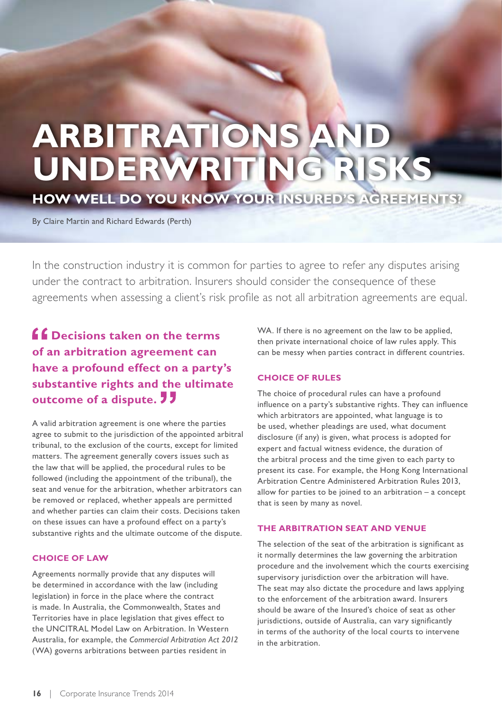# **ARBITRATIONS AN underwriting risks**

**how well do you know your Insured's agreements?**

By Claire Martin and Richard Edwards (Perth)

In the construction industry it is common for parties to agree to refer any disputes arising under the contract to arbitration. Insurers should consider the consequence of these agreements when assessing a client's risk profile as not all arbitration agreements are equal.

**<u>f</u>** Decisions taken on the terms **of an arbitration agreement can have a profound effect on a party's substantive rights and the ultimate outcome of a dispute.** 

A valid arbitration agreement is one where the parties agree to submit to the jurisdiction of the appointed arbitral tribunal, to the exclusion of the courts, except for limited matters. The agreement generally covers issues such as the law that will be applied, the procedural rules to be followed (including the appointment of the tribunal), the seat and venue for the arbitration, whether arbitrators can be removed or replaced, whether appeals are permitted and whether parties can claim their costs. Decisions taken on these issues can have a profound effect on a party's substantive rights and the ultimate outcome of the dispute.

#### **Choice of law**

Agreements normally provide that any disputes will be determined in accordance with the law (including legislation) in force in the place where the contract is made. In Australia, the Commonwealth, States and Territories have in place legislation that gives effect to the UNCITRAL Model Law on Arbitration. In Western Australia, for example, the *Commercial Arbitration Act 2012*  (WA) governs arbitrations between parties resident in

WA. If there is no agreement on the law to be applied, then private international choice of law rules apply. This can be messy when parties contract in different countries.

#### **Choice of rules**

The choice of procedural rules can have a profound influence on a party's substantive rights. They can influence which arbitrators are appointed, what language is to be used, whether pleadings are used, what document disclosure (if any) is given, what process is adopted for expert and factual witness evidence, the duration of the arbitral process and the time given to each party to present its case. For example, the Hong Kong International Arbitration Centre Administered Arbitration Rules 2013, allow for parties to be joined to an arbitration  $-$  a concept that is seen by many as novel.

#### **The arbitration seat and venue**

The selection of the seat of the arbitration is significant as it normally determines the law governing the arbitration procedure and the involvement which the courts exercising supervisory jurisdiction over the arbitration will have. The seat may also dictate the procedure and laws applying to the enforcement of the arbitration award. Insurers should be aware of the Insured's choice of seat as other jurisdictions, outside of Australia, can vary significantly in terms of the authority of the local courts to intervene in the arbitration.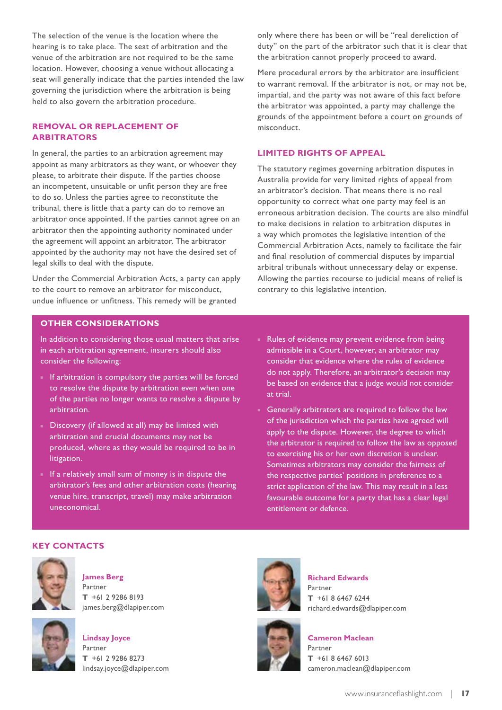The selection of the venue is the location where the hearing is to take place. The seat of arbitration and the venue of the arbitration are not required to be the same location. However, choosing a venue without allocating a seat will generally indicate that the parties intended the law governing the jurisdiction where the arbitration is being held to also govern the arbitration procedure.

#### **Removal or replacement of arbitrators**

In general, the parties to an arbitration agreement may appoint as many arbitrators as they want, or whoever they please, to arbitrate their dispute. If the parties choose an incompetent, unsuitable or unfit person they are free to do so. Unless the parties agree to reconstitute the tribunal, there is little that a party can do to remove an arbitrator once appointed. If the parties cannot agree on an arbitrator then the appointing authority nominated under the agreement will appoint an arbitrator. The arbitrator appointed by the authority may not have the desired set of legal skills to deal with the dispute.

Under the Commercial Arbitration Acts, a party can apply to the court to remove an arbitrator for misconduct, undue influence or unfitness. This remedy will be granted

only where there has been or will be "real dereliction of duty" on the part of the arbitrator such that it is clear that the arbitration cannot properly proceed to award.

Mere procedural errors by the arbitrator are insufficient to warrant removal. If the arbitrator is not, or may not be, impartial, and the party was not aware of this fact before the arbitrator was appointed, a party may challenge the grounds of the appointment before a court on grounds of misconduct.

#### **Limited rights of appeal**

The statutory regimes governing arbitration disputes in Australia provide for very limited rights of appeal from an arbitrator's decision. That means there is no real opportunity to correct what one party may feel is an erroneous arbitration decision. The courts are also mindful to make decisions in relation to arbitration disputes in a way which promotes the legislative intention of the Commercial Arbitration Acts, namely to facilitate the fair and final resolution of commercial disputes by impartial arbitral tribunals without unnecessary delay or expense. Allowing the parties recourse to judicial means of relief is contrary to this legislative intention.

#### **Other considerations**

In addition to considering those usual matters that arise in each arbitration agreement, insurers should also consider the following:

- If arbitration is compulsory the parties will be forced to resolve the dispute by arbitration even when one of the parties no longer wants to resolve a dispute by arbitration.
- Discovery (if allowed at all) may be limited with arbitration and crucial documents may not be produced, where as they would be required to be in litigation.
- If a relatively small sum of money is in dispute the arbitrator's fees and other arbitration costs (hearing venue hire, transcript, travel) may make arbitration uneconomical.
- Rules of evidence may prevent evidence from being admissible in a Court, however, an arbitrator may consider that evidence where the rules of evidence do not apply. Therefore, an arbitrator's decision may be based on evidence that a judge would not consider at trial.
- Generally arbitrators are required to follow the law of the jurisdiction which the parties have agreed will apply to the dispute. However, the degree to which the arbitrator is required to follow the law as opposed to exercising his or her own discretion is unclear. Sometimes arbitrators may consider the fairness of the respective parties' positions in preference to a strict application of the law. This may result in a less favourable outcome for a party that has a clear legal entitlement or defence.

#### **Key Contacts**



**James Berg** Partner **T** +61 2 9286 8193 james.berg@dlapiper.com



**Lindsay Joyce** Partner **T** +61 2 9286 8273 lindsay.joyce@dlapiper.com



**Richard Edwards** Partner **T** +61 8 6467 6244 richard.edwards@dlapiper.com



**Cameron Maclean**

Partner **T** +61 8 6467 6013 cameron.maclean@dlapiper.com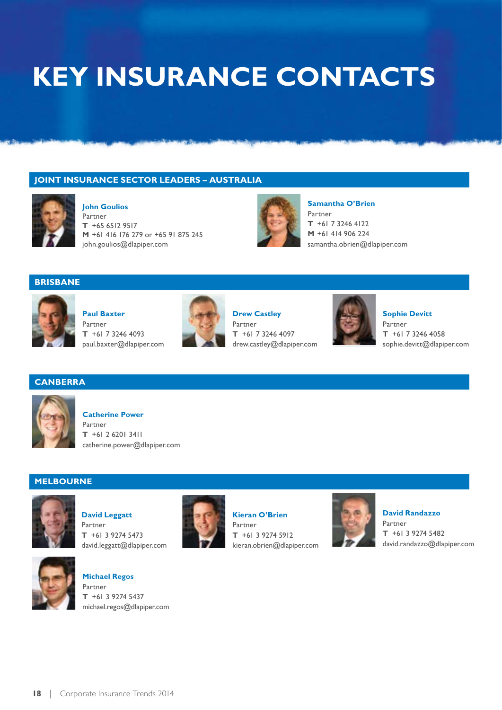### **KEY INSURANCE CONTACTS**

#### **joint INSURANCE SECTOR LEADERs – AUSTRALIA**



**John Goulios** Partner **T** +65 6512 9517 **M** +61 416 176 279 or +65 91 875 245 john.goulios@dlapiper.com



**Samantha O'Brien** Partner **T** +61 7 3246 4122 **M** +61 414 906 224 samantha.obrien@dlapiper.com

#### **BRISBANE**



**Paul Baxter** Partner **T** +61 7 3246 4093 paul.baxter@dlapiper.com



**Drew Castley** Partner **T** +61 7 3246 4097 drew.castley@dlapiper.com



**Sophie Devitt** Partner **T** +61 7 3246 4058 sophie.devitt@dlapiper.com

#### **canberra**



#### **Catherine Power**

Partner **T** +61 2 6201 3411 catherine.power@dlapiper.com

#### **MELBOURNE**



**David Leggatt** Partner **T** +61 3 9274 5473 david.leggatt@dlapiper.com



**Michael Regos** Partner **T** +61 3 9274 5437 michael.regos@dlapiper.com



**Kieran O'Brien** Partner **T** +61 3 9274 5912 kieran.obrien@dlapiper.com



**David Randazzo** Partner **T** +61 3 9274 5482 david.randazzo@dlapiper.com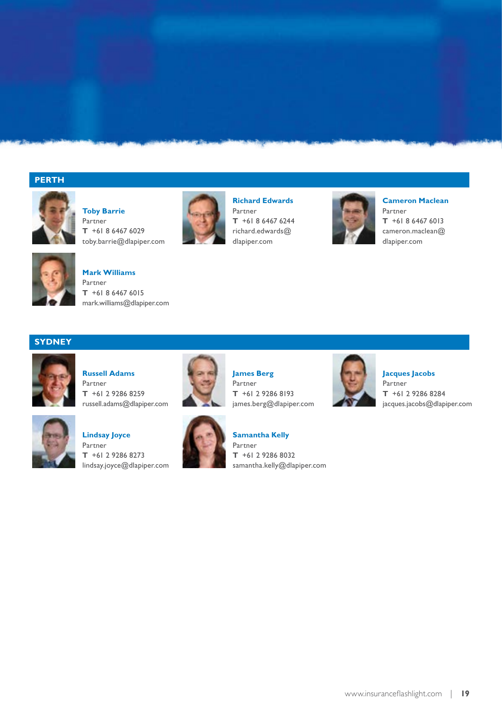#### **PERTH**



**Toby Barrie** Partner **T** +61 8 6467 6029 toby.barrie@dlapiper.com



**Mark Williams** Partner **T** +61 8 6467 6015 mark.williams@dlapiper.com



**Richard Edwards** Partner **T** +61 8 6467 6244 richard.edwards@ dlapiper.com



**Cameron Maclean** Partner **T** +61 8 6467 6013 cameron.maclean@ dlapiper.com

#### **SYDNEY**



**Russell Adams** Partner **T** +61 2 9286 8259 russell.adams@dlapiper.com



**Lindsay Joyce** Partner **T** +61 2 9286 8273 lindsay.joyce@dlapiper.com



**James Berg** Partner **T** +61 2 9286 8193 james.berg@dlapiper.com



**Samantha Kelly** Partner



**Jacques Jacobs** Partner **T** +61 2 9286 8284 jacques.jacobs@dlapiper.com